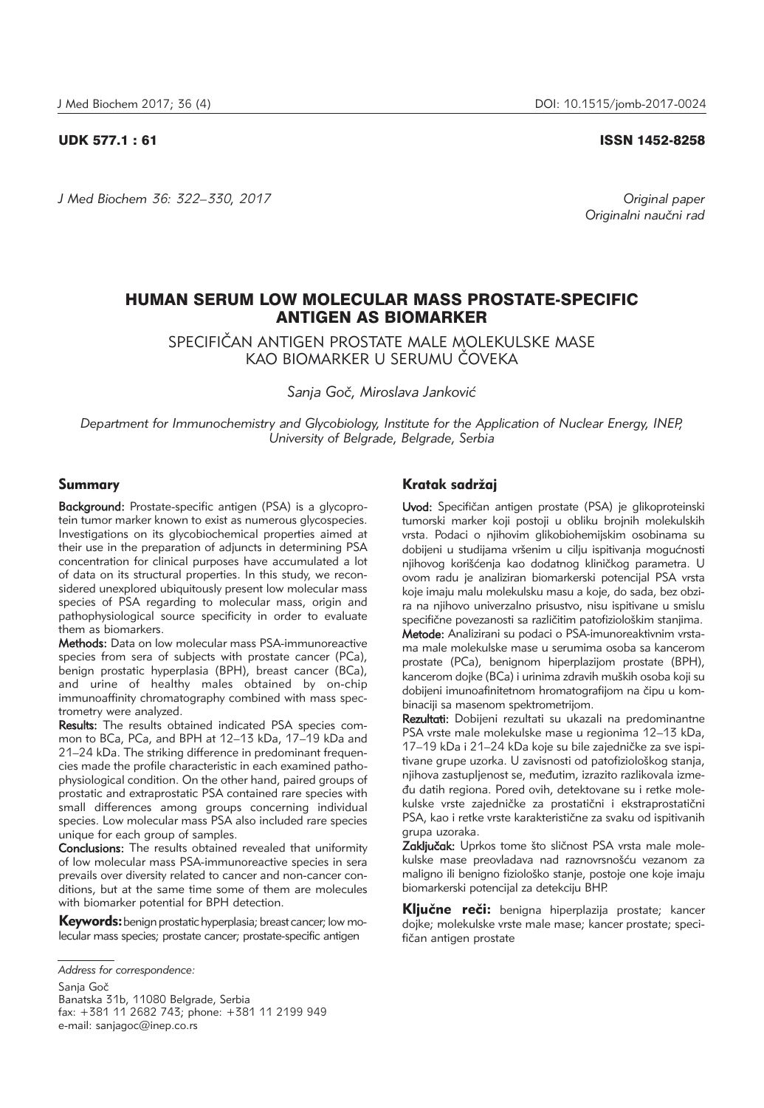*J Med Biochem 36: 322–330, 2017 Original paper*

UDK 577.1 : 61 ISSN 1452-8258

*Originalni nau~ni rad*

# HUMAN SERUM LOW MOLECULAR MASS PROSTATE-SPECIFIC ANTIGEN AS BIOMARKER

SPECIFIČAN ANTIGEN PROSTATE MALE MOLEKULSKE MASE KAO BIOMARKER U SERUMU ČOVEKA

Sanja Goč, Miroslava Janković

*Department for Immunochemistry and Glycobiology, Institute for the Application of Nuclear Energy, INEP, University of Belgrade, Belgrade, Serbia*

## Summary

Background: Prostate-specific antigen (PSA) is a glycoprotein tumor marker known to exist as numerous glycospecies. Investigations on its glycobiochemical properties aimed at their use in the preparation of adjuncts in determining PSA concentration for clinical purposes have accumulated a lot of data on its structural properties. In this study, we reconsidered unexplored ubiquitously present low molecular mass species of PSA regarding to molecular mass, origin and pathophysiological source specificity in order to evaluate them as biomarkers.

Methods: Data on low molecular mass PSA-immunoreactive species from sera of subjects with prostate cancer (PCa), benign prostatic hyperplasia (BPH), breast cancer (BCa), and urine of healthy males obtained by on-chip immunoaffinity chromatography combined with mass spectrometry were analyzed.

Results: The results obtained indicated PSA species common to BCa, PCa, and BPH at 12–13 kDa, 17–19 kDa and 21–24 kDa. The striking difference in predominant frequencies made the profile characteristic in each examined pathophysiological condition. On the other hand, paired groups of prostatic and extraprostatic PSA contained rare species with small differences among groups concerning individual species. Low molecular mass PSA also included rare species unique for each group of samples.

Conclusions: The results obtained revealed that uniformity of low molecular mass PSA-immunoreactive species in sera prevails over diversity related to cancer and non-cancer conditions, but at the same time some of them are molecules with biomarker potential for BPH detection.

Keywords: benign prostatic hyperplasia; breast cancer; low molecular mass species; prostate cancer; prostate-specific antigen

Sania Goč Banatska 31b, 11080 Belgrade, Serbia fax: +381 11 2682 743; phone: +381 11 2199 949 e-mail: sanjagoc@inep.co.rs

## Kratak sadržaj

Uvod: Specifičan antigen prostate (PSA) je glikoproteinski tumorski marker koji postoji u obliku brojnih molekulskih vrsta. Podaci o njihovim glikobiohemijskim osobinama su dobijeni u studijama vršenim u cilju ispitivanja mogućnosti njihovog korišćenja kao dodatnog kliničkog parametra. U ovom radu je analiziran biomarkerski potencijal PSA vrsta koje imaju malu molekulsku masu a koje, do sada, bez obzira na njihovo univerzalno prisustvo, nisu ispitivane u smislu specifične povezanosti sa različitim patofiziološkim stanjima. Metode: Analizirani su podaci o PSA-imunoreaktivnim vrstama male molekulske mase u serumima osoba sa kancerom prostate (PCa), benignom hiperplazijom prostate (BPH),

kancerom dojke (BCa) i urinima zdravih muških osoba koji su dobijeni imunoafinitetnom hromatografijom na čipu u kombinaciji sa masenom spektrometrijom.

Rezultati: Dobijeni rezultati su ukazali na predominantne PSA vrste male molekulske mase u regionima 12–13 kDa, 17–19 kDa i 21–24 kDa koje su bile zajedničke za sve ispitivane grupe uzorka. U zavisnosti od patofiziološkog stanja, njihova zastupljenost se, međutim, izrazito razlikovala između datih regiona. Pored ovih, detektovane su i retke molekulske vrste zajedničke za prostatični i ekstraprostatični PSA, kao i retke vrste karakteristične za svaku od ispitivanih grupa uzoraka.

Zaključak: Uprkos tome što sličnost PSA vrsta male molekulske mase preovladava nad raznovrsnošću vezanom za maligno ili benigno fiziološko stanje, postoje one koje imaju biomarkerski potencijal za detekciju BHP.

Ključne reči: benigna hiperplazija prostate; kancer dojke; molekulske vrste male mase; kancer prostate; specifičan antigen prostate

*Address for correspondence:*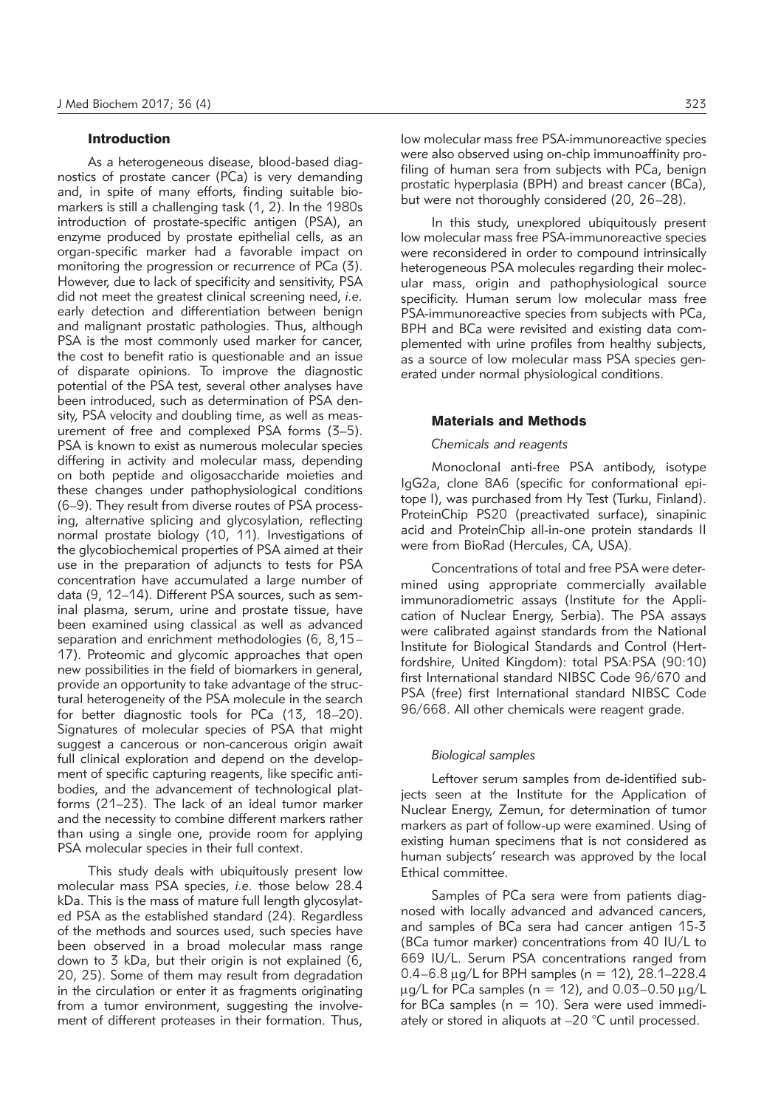## Introduction

As a heterogeneous disease, blood-based diagnostics of prostate cancer (PCa) is very demanding and, in spite of many efforts, finding suitable biomarkers is still a challenging task (1, 2). In the 1980s introduction of prostate-specific antigen (PSA), an enzyme produced by prostate epithelial cells, as an organ-specific marker had a favorable impact on monitoring the progression or recurrence of PCa (3). However, due to lack of specificity and sensitivity, PSA did not meet the greatest clinical screening need, *i.e.* early detection and differentiation between benign and malignant prostatic pathologies. Thus, although PSA is the most commonly used marker for cancer, the cost to benefit ratio is questionable and an issue of disparate opinions. To improve the diagnostic potential of the PSA test, several other analyses have been introduced, such as determination of PSA density, PSA velocity and doubling time, as well as measurement of free and complexed PSA forms (3–5). PSA is known to exist as numerous molecular species differing in activity and molecular mass, depending on both peptide and oligosaccharide moieties and these changes under pathophysiological conditions (6–9). They result from diverse routes of PSA processing, alternative splicing and glycosylation, reflecting normal prostate biology (10, 11). Investigations of the glycobiochemical properties of PSA aimed at their use in the preparation of adjuncts to tests for PSA concentration have accumulated a large number of data (9, 12–14). Different PSA sources, such as seminal plasma, serum, urine and prostate tissue, have been examined using classical as well as advanced separation and enrichment methodologies (6, 8,15– 17). Proteomic and glycomic approaches that open new possibilities in the field of biomarkers in general, provide an opportunity to take advantage of the structural heterogeneity of the PSA molecule in the search for better diagnostic tools for PCa (13, 18–20). Signatures of molecular species of PSA that might suggest a cancerous or non-cancerous origin await full clinical exploration and depend on the development of specific capturing reagents, like specific antibodies, and the advancement of technological platforms (21–23). The lack of an ideal tumor marker and the necessity to combine different markers rather than using a single one, provide room for applying PSA molecular species in their full context.

This study deals with ubiquitously present low molecular mass PSA species, *i.e.* those below 28.4 kDa. This is the mass of mature full length glycosylated PSA as the established standard (24). Regardless of the methods and sources used, such species have been observed in a broad molecular mass range down to 3 kDa, but their origin is not explained (6, 20, 25). Some of them may result from degradation in the circulation or enter it as fragments originating from a tumor environment, suggesting the involvement of different proteases in their formation. Thus, low molecular mass free PSA-immunoreactive species were also observed using on-chip immunoaffinity profiling of human sera from subjects with PCa, benign prostatic hyperplasia (BPH) and breast cancer (BCa), but were not thoroughly considered (20, 26–28).

In this study, unexplored ubiquitously present low molecular mass free PSA-immunoreactive species were reconsidered in order to compound intrinsically heterogeneous PSA molecules regarding their molecular mass, origin and pathophysiological source specificity. Human serum low molecular mass free PSA-immunoreactive species from subjects with PCa, BPH and BCa were revisited and existing data complemented with urine profiles from healthy subjects, as a source of low molecular mass PSA species generated under normal physiological conditions.

## Materials and Methods

#### *Chemicals and reagents*

Monoclonal anti-free PSA antibody, isotype IgG2a, clone 8A6 (specific for conformational epitope I), was purchased from Hy Test (Turku, Finland). ProteinChip PS20 (preactivated surface), sinapinic acid and ProteinChip all-in-one protein standards II were from BioRad (Hercules, CA, USA).

Concentrations of total and free PSA were determined using appropriate commercially available immunoradiometric assays (Institute for the Application of Nuclear Energy, Serbia). The PSA assays were calibrated against standards from the National Institute for Biological Standards and Control (Hert fordshire, United Kingdom): total PSA:PSA (90:10) first International standard NIBSC Code 96/670 and PSA (free) first International standard NIBSC Code 96/668. All other chemicals were reagent grade.

## *Biological samples*

Leftover serum samples from de-identified subjects seen at the Institute for the Application of Nuclear Energy, Zemun, for determination of tumor markers as part of follow-up were examined. Using of existing human specimens that is not considered as human subjects' research was approved by the local Ethical committee.

Samples of PCa sera were from patients diagnosed with locally advanced and advanced cancers, and samples of BCa sera had cancer antigen 15-3 (BCa tumor marker) concentrations from 40 IU/L to 669 IU/L. Serum PSA concentrations ranged from 0.4–6.8  $\mu$ g/L for BPH samples (n = 12), 28.1–228.4  $\mu$ g/L for PCa samples (n = 12), and 0.03-0.50  $\mu$ g/L for BCa samples ( $n = 10$ ). Sera were used immediately or stored in aliquots at –20 °C until processed.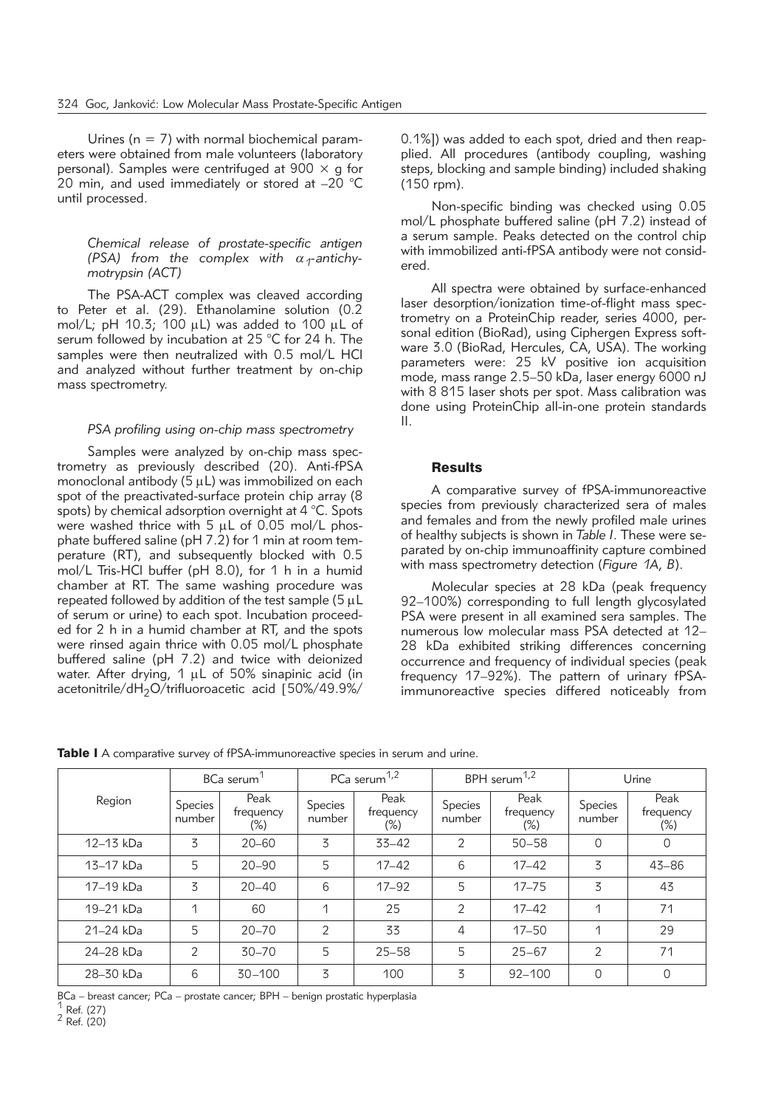Urines ( $n = 7$ ) with normal biochemical parameters were obtained from male volunteers (laboratory personal). Samples were centrifuged at 900  $\times$  g for 20 min, and used immediately or stored at  $-20$  °C until processed.

## *Chemical release of prostate-specific antigen (PSA)* from the complex with  $\alpha_1$ -antichy*motrypsin (ACT)*

The PSA-ACT complex was cleaved according to Peter et al. (29). Ethanolamine solution (0.2 mol/L; pH 10.3; 100  $\mu$ L) was added to 100  $\mu$ L of serum followed by incubation at 25 °C for 24 h. The samples were then neutralized with 0.5 mol/L HCl and analyzed without further treatment by on-chip mass spectrometry.

## *PSA profiling using on-chip mass spectrometry*

Samples were analyzed by on-chip mass spectrometry as previously described (20). Anti-fPSA monoclonal antibody ( $5 \mu L$ ) was immobilized on each spot of the preactivated-surface protein chip array (8 spots) by chemical adsorption overnight at 4 °C. Spots were washed thrice with  $5 \mu L$  of 0.05 mol/L phosphate buffered saline (pH 7.2) for 1 min at room temperature (RT), and subsequently blocked with 0.5 mol/L Tris-HCl buffer (pH 8.0), for 1 h in a humid chamber at RT. The same washing procedure was repeated followed by addition of the test sample  $(5 \mu L)$ of serum or urine) to each spot. Incubation proceeded for 2 h in a humid chamber at RT, and the spots were rinsed again thrice with 0.05 mol/L phosphate buffered saline (pH 7.2) and twice with deionized water. After drying,  $1 \mu L$  of 50% sinapinic acid (in acetonitrile/dH<sub>2</sub>O/trifluoroacetic acid [50%/49.9%/

0.1%]) was added to each spot, dried and then reapplied. All procedures (antibody coupling, washing steps, blocking and sample binding) included shaking (150 rpm).

Non-specific binding was checked using 0.05 mol/L phosphate buffered saline (pH 7.2) instead of a serum sample. Peaks detected on the control chip with immobilized anti-fPSA antibody were not considered.

All spectra were obtained by surface-enhanced laser desorption/ionization time-of-flight mass spectrometry on a ProteinChip reader, series 4000, personal edition (BioRad), using Ciphergen Express software 3.0 (BioRad, Hercules, CA, USA). The working parameters were: 25 kV positive ion acquisition mode, mass range 2.5–50 kDa, laser energy 6000 nJ with 8 815 laser shots per spot. Mass calibration was done using ProteinChip all-in-one protein standards II.

## **Results**

A comparative survey of fPSA-immunoreactive species from previously characterized sera of males and females and from the newly profiled male urines of healthy subjects is shown in *Table I*. These were separated by on-chip immunoaffinity capture combined with mass spectrometry detection (*Figure 1A, B*).

Molecular species at 28 kDa (peak frequency 92–100%) corresponding to full length glycosylated PSA were present in all examined sera samples. The numerous low molecular mass PSA detected at 12– 28 kDa exhibited striking differences concerning occurrence and frequency of individual species (peak frequency 17–92%). The pattern of urinary fPSAimmunoreactive species differed noticeably from

Table I A comparative survey of fPSA-immunoreactive species in serum and urine.

|           |                          | $BCa$ serum <sup>1</sup> |                   | PCa serum $1,2$             |                          | BPH serum <sup>1,2</sup>    | Urine                    |                             |  |
|-----------|--------------------------|--------------------------|-------------------|-----------------------------|--------------------------|-----------------------------|--------------------------|-----------------------------|--|
| Region    | Species<br>number        | Peak<br>frequency<br>(%) | Species<br>number | Peak<br>frequency<br>$(\%)$ | <b>Species</b><br>number | Peak<br>frequency<br>$(\%)$ | <b>Species</b><br>number | Peak<br>frequency<br>$(\%)$ |  |
| 12-13 kDa | 3                        | $20 - 60$                | 3                 | $33 - 42$                   | 2                        | $50 - 58$                   | 0                        | 0                           |  |
| 13-17 kDa | 5                        | $20 - 90$                | 5                 | $17 - 42$                   | 6                        | $17 - 42$                   | 3                        | $43 - 86$                   |  |
| 17-19 kDa | 3                        | $20 - 40$                | 6                 | $17 - 92$                   | 5                        | $17 - 75$                   | 3                        | 43                          |  |
| 19-21 kDa | $\overline{\phantom{a}}$ | 60                       | 1                 | 25                          | $\mathcal{P}$            | $17 - 42$                   | $\overline{\phantom{a}}$ | 71                          |  |
| 21-24 kDa | 5                        | $20 - 70$                | $\mathfrak{D}$    | 33                          | 4                        | $17 - 50$                   | $\overline{\phantom{a}}$ | 29                          |  |
| 24-28 kDa | $\mathcal{P}$            | $30 - 70$                | 5                 | $25 - 58$                   | 5                        | $25 - 67$                   | $\mathcal{P}$            | 71                          |  |
| 28-30 kDa | 6                        | $30 - 100$               | 3                 | 100                         | 3                        | $92 - 100$                  | $\Omega$                 | $\Omega$                    |  |

BCa – breast cancer; PCa – prostate cancer; BPH – benign prostatic hyperplasia<br><sup>1</sup> Ref. (27)

 $2$  Ref. (20)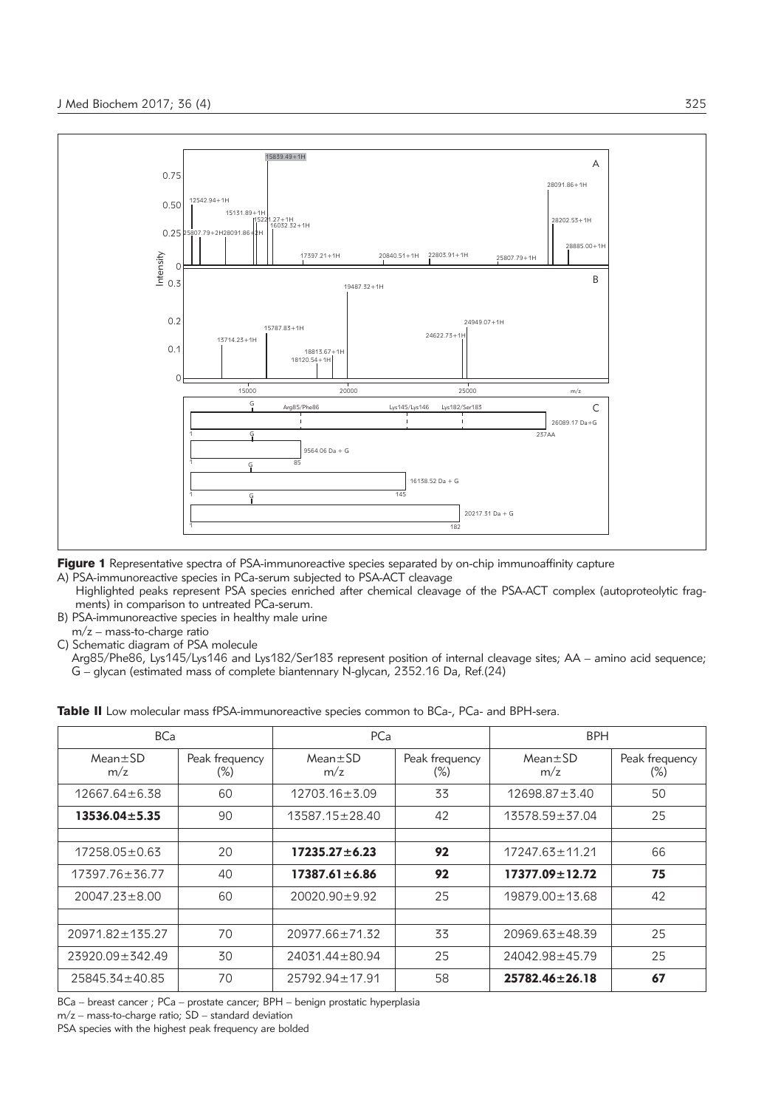

Figure 1 Representative spectra of PSA-immunoreactive species separated by on-chip immunoaffinity capture

A) PSA-immunoreactive species in PCa-serum subjected to PSA-ACT cleavage Highlighted peaks represent PSA species enriched after chemical cleavage of the PSA-ACT complex (autoproteolytic fragments) in comparison to untreated PCa-serum.

B) PSA-immunoreactive species in healthy male urine

m/z – mass-to-charge ratio

C) Schematic diagram of PSA molecule

Arg85/Phe86, Lys145/Lys146 and Lys182/Ser183 represent position of internal cleavage sites; AA – amino acid sequence; G – glycan (estimated mass of complete biantennary N-glycan, 2352.16 Da, Ref.(24)

|  |  |  |  | Table II Low molecular mass fPSA-immunoreactive species common to BCa-, PCa- and BPH-sera. |  |  |  |
|--|--|--|--|--------------------------------------------------------------------------------------------|--|--|--|
|  |  |  |  |                                                                                            |  |  |  |

| <b>BCa</b>                |                          | PCa                                              |    | <b>BPH</b>           |                          |  |  |
|---------------------------|--------------------------|--------------------------------------------------|----|----------------------|--------------------------|--|--|
| $Mean \pm SD$<br>m/z      | Peak frequency<br>$(\%)$ | $Mean \pm SD$<br>Peak frequency<br>m/z<br>$(\%)$ |    | $Mean \pm SD$<br>m/z | Peak frequency<br>$(\%)$ |  |  |
| $12667.64 \pm 6.38$       | 60                       | $12703.16 \pm 3.09$                              | 33 | $12698.87 \pm 5.40$  | 50                       |  |  |
| $13536.04 \pm 5.35$<br>90 |                          | 13587.15±28.40<br>42                             |    | 13578.59±37.04       | 25                       |  |  |
|                           |                          |                                                  |    |                      |                          |  |  |
| $17258.05 \pm 0.63$       | 20                       | $17235.27 \pm 6.23$                              | 92 | $17247.63 \pm 11.21$ | 66                       |  |  |
| $17397.76 \pm 36.77$      | 40                       | $17387.61 \pm 6.86$                              | 92 | 17377.09 ± 12.72     | 75                       |  |  |
| $20047.23 \pm 8.00$       | 60                       | $20020.90 \pm 9.92$                              | 25 | 19879.00±13.68       | 42                       |  |  |
|                           |                          |                                                  |    |                      |                          |  |  |
| $20971.82 \pm 135.27$     | 70                       | 20977.66±71.32                                   | 33 | $20969.63 \pm 48.39$ | 25                       |  |  |
| $23920.09 \pm 342.49$     | 30                       | $24031.44 \pm 80.94$                             | 25 | 24042.98±45.79       | 25                       |  |  |
| 25845.34±40.85            | 70                       | $25792.94 \pm 17.91$                             | 58 | $25782.46 \pm 26.18$ | 67                       |  |  |

BCa – breast cancer ; PCa – prostate cancer; BPH – benign prostatic hyperplasia

 $m/z$  – mass-to-charge ratio;  $SD$  – standard deviation

PSA species with the highest peak frequency are bolded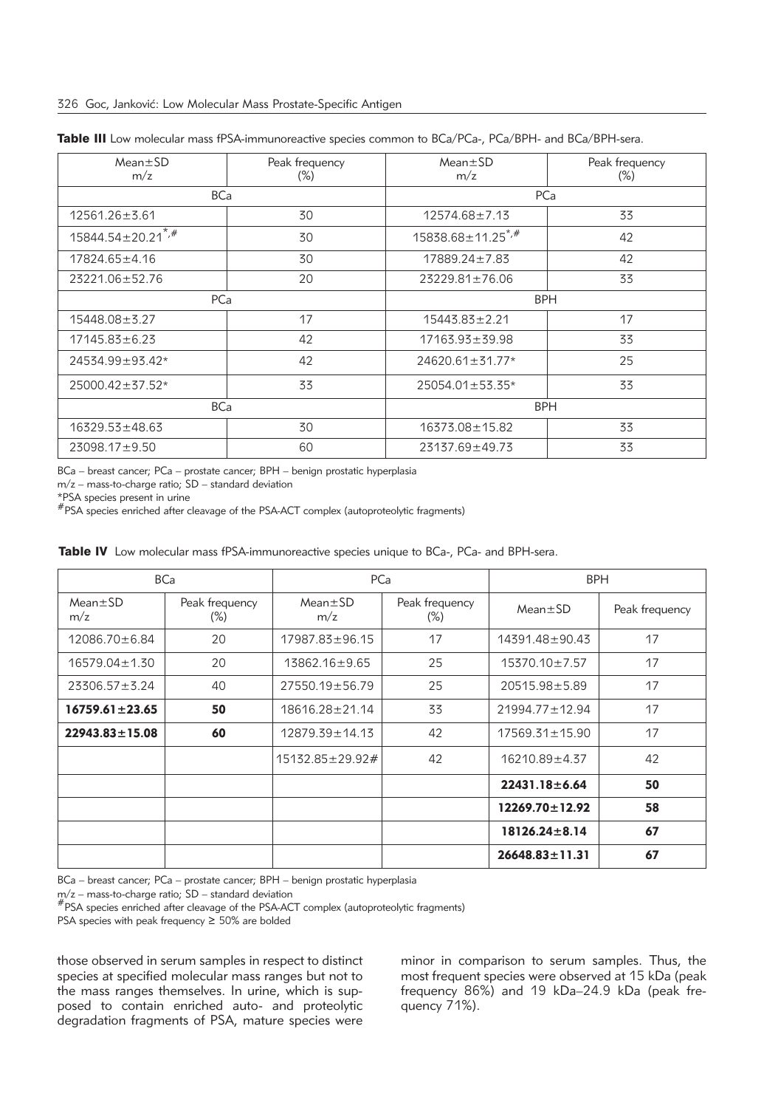| $Mean \pm SD$<br>m/z                | Peak frequency<br>$(\%)$ | $Mean \pm SD$<br>m/z          | Peak frequency<br>$(\%)$ |  |  |  |
|-------------------------------------|--------------------------|-------------------------------|--------------------------|--|--|--|
| <b>BCa</b>                          |                          | PCa                           |                          |  |  |  |
| $12561.26 \pm 3.61$                 | 30                       | 12574.68±7.13                 | 33                       |  |  |  |
| $15844.54 \pm 20.21$ <sup>*,#</sup> | 30                       | 15838.68±11.25 <sup>*,#</sup> | 42                       |  |  |  |
| $17824.65 \pm 4.16$                 | 30                       | $17889.24 \pm 7.83$           | 42                       |  |  |  |
| 23221.06±52.76                      | 20                       | 23229.81±76.06                | 33                       |  |  |  |
| PCa                                 |                          | <b>BPH</b>                    |                          |  |  |  |
| $15448.08 \pm 5.27$                 | 17                       | $15443.83 \pm 2.21$           | 17                       |  |  |  |
| $17145.83 \pm 6.23$                 | 42                       | 17163.93±39.98                | 33                       |  |  |  |
| 24534.99±93.42*                     | 42                       | 24620.61±31.77*               | 25                       |  |  |  |
| $25000.42 \pm 37.52*$               | 33                       | 25054.01±53.35*               | 33                       |  |  |  |
| <b>BCa</b>                          |                          | <b>BPH</b>                    |                          |  |  |  |
| $16329.53 \pm 48.63$                | 30                       | 16373.08±15.82<br>33          |                          |  |  |  |
| $23098.17 \pm 9.50$                 | 60                       | 23137.69±49.73                | 33                       |  |  |  |

|  |  |  |  |  | Table III Low molecular mass fPSA-immunoreactive species common to BCa/PCa-, PCa/BPH- and BCa/BPH-sera. |  |  |  |  |  |  |  |  |  |  |
|--|--|--|--|--|---------------------------------------------------------------------------------------------------------|--|--|--|--|--|--|--|--|--|--|
|--|--|--|--|--|---------------------------------------------------------------------------------------------------------|--|--|--|--|--|--|--|--|--|--|

BCa – breast cancer; PCa – prostate cancer; BPH – benign prostatic hyperplasia

m/z – mass-to-charge ratio; SD – standard deviation

\*PSA species present in urine

#PSA species enriched after cleavage of the PSA-ACT complex (autoproteolytic fragments)

|                      | <b>BCa</b>               | PCa                     |                          | <b>BPH</b>           |                |  |  |
|----------------------|--------------------------|-------------------------|--------------------------|----------------------|----------------|--|--|
| $Mean \pm SD$<br>m/z | Peak frequency<br>$(\%)$ | $Mean \pm SD$<br>m/z    | Peak frequency<br>$(\%)$ | $Mean \pm SD$        | Peak frequency |  |  |
| 12086.70±6.84        | 20                       | 17987.83±96.15          | 17                       | 14391.48±90.43       | 17             |  |  |
| $16579.04 \pm 1.30$  | 20                       | 13862.16±9.65           | 25                       | 15370.10±7.57        | 17             |  |  |
| $23306.57 \pm 3.24$  | 40                       | 27550.19±56.79          | 25                       | 20515.98±5.89        | 17             |  |  |
| $16759.61 \pm 23.65$ | 50                       | 18616.28±21.14          | 33                       | $21994.77 \pm 12.94$ | 17             |  |  |
| $22943.83 \pm 15.08$ | 60                       | 12879.39±14.13          | 42                       | $17569.31 \pm 15.90$ | 17             |  |  |
|                      |                          | $15132.85 \pm 29.92 \#$ | 42                       | $16210.89 \pm 4.37$  | 42             |  |  |
|                      |                          |                         |                          | $22431.18 \pm 6.64$  | 50             |  |  |
|                      |                          |                         |                          | $12269.70 \pm 12.92$ | 58             |  |  |
|                      |                          |                         |                          | $18126.24 \pm 8.14$  | 67             |  |  |
|                      |                          |                         |                          | $26648.83 \pm 11.31$ | 67             |  |  |

Table IV Low molecular mass fPSA-immunoreactive species unique to BCa-, PCa- and BPH-sera.

BCa – breast cancer; PCa – prostate cancer; BPH – benign prostatic hyperplasia

m/z – mass-to-charge ratio; SD – standard deviation #PSA species enriched after cleavage of the PSA-ACT complex (autoproteolytic fragments)

PSA species with peak frequency ≥ 50% are bolded

those observed in serum samples in respect to distinct species at specified molecular mass ranges but not to the mass ranges themselves. In urine, which is supposed to contain enriched auto- and proteolytic degradation fragments of PSA, mature species were minor in comparison to serum samples. Thus, the most frequent species were observed at 15 kDa (peak frequency 86%) and 19 kDa–24.9 kDa (peak frequency 71%).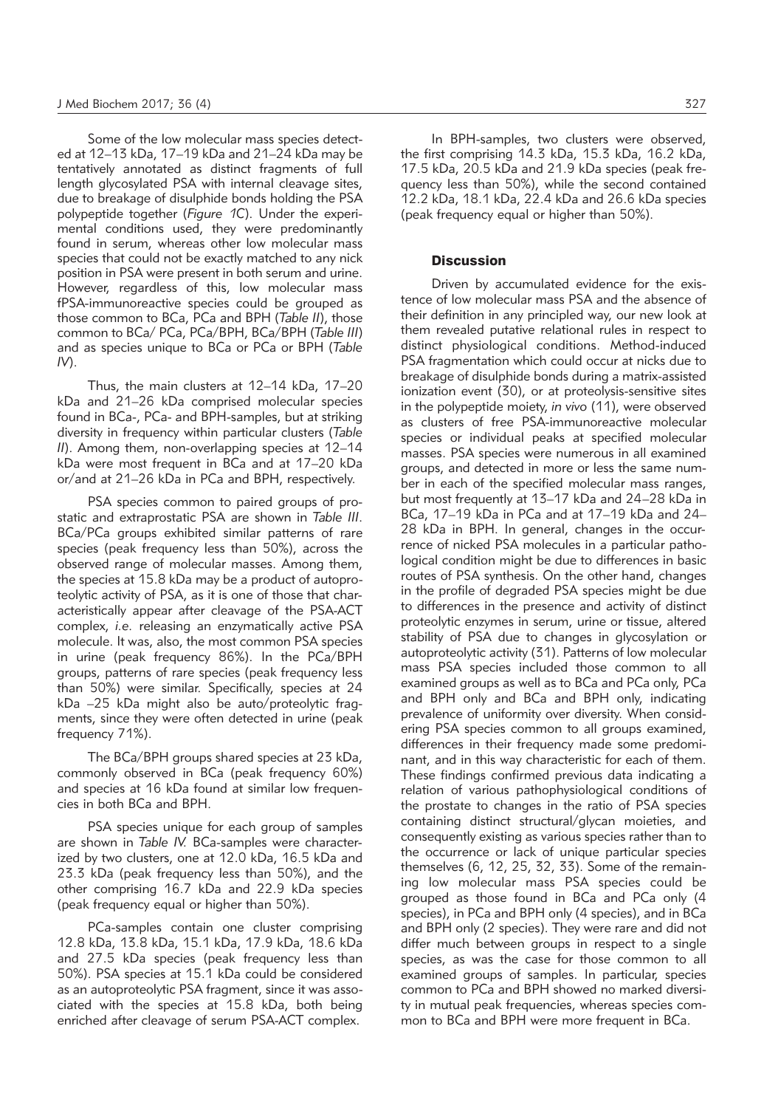Some of the low molecular mass species detected at 12–13 kDa, 17–19 kDa and 21–24 kDa may be tentatively annotated as distinct fragments of full length glycosylated PSA with internal cleavage sites, due to breakage of disulphide bonds holding the PSA polypeptide together (*Figure 1C*). Under the experimental conditions used, they were predominantly found in serum, whereas other low molecular mass species that could not be exactly matched to any nick position in PSA were present in both serum and urine. However, regardless of this, low molecular mass fPSA-immunoreactive species could be grouped as those common to BCa, PCa and BPH (*Table II*), those common to BCa/ PCa, PCa/BPH, BCa/BPH (*Table III*) and as species unique to BCa or PCa or BPH (*Table IV*).

Thus, the main clusters at 12–14 kDa, 17–20 kDa and 21–26 kDa comprised molecular species found in BCa-, PCa- and BPH-samples, but at striking diversity in frequency within particular clusters (*Table II*). Among them, non-overlapping species at 12–14 kDa were most frequent in BCa and at 17–20 kDa or/and at 21–26 kDa in PCa and BPH, respectively.

PSA species common to paired groups of prostatic and extraprostatic PSA are shown in *Table III*. BCa/PCa groups exhibited similar patterns of rare species (peak frequency less than 50%), across the observed range of molecular masses. Among them, the species at 15.8 kDa may be a product of autoproteolytic activity of PSA, as it is one of those that characteristically appear after cleavage of the PSA-ACT complex, *i.e.* releasing an enzymatically active PSA molecule. It was, also, the most common PSA species in urine (peak frequency 86%). In the PCa/BPH groups, patterns of rare species (peak frequency less than 50%) were similar. Specifically, species at 24 kDa –25 kDa might also be auto/proteolytic fragments, since they were often detected in urine (peak frequency 71%).

The BCa/BPH groups shared species at 23 kDa, commonly observed in BCa (peak frequency 60%) and species at 16 kDa found at similar low frequencies in both BCa and BPH.

PSA species unique for each group of samples are shown in *Table IV.* BCa-samples were characterized by two clusters, one at 12.0 kDa, 16.5 kDa and 23.3 kDa (peak frequency less than 50%), and the other comprising 16.7 kDa and 22.9 kDa species (peak frequency equal or higher than 50%).

PCa-samples contain one cluster comprising 12.8 kDa, 13.8 kDa, 15.1 kDa, 17.9 kDa, 18.6 kDa and 27.5 kDa species (peak frequency less than 50%). PSA species at 15.1 kDa could be considered as an autoproteolytic PSA fragment, since it was associated with the species at 15.8 kDa, both being enriched after cleavage of serum PSA-ACT complex.

In BPH-samples, two clusters were observed, the first comprising 14.3 kDa, 15.3 kDa, 16.2 kDa, 17.5 kDa, 20.5 kDa and 21.9 kDa species (peak frequency less than 50%), while the second contained 12.2 kDa, 18.1 kDa, 22.4 kDa and 26.6 kDa species (peak frequency equal or higher than 50%).

#### **Discussion**

Driven by accumulated evidence for the existence of low molecular mass PSA and the absence of their definition in any principled way, our new look at them revealed putative relational rules in respect to distinct physiological conditions. Method-induced PSA fragmentation which could occur at nicks due to breakage of disulphide bonds during a matrix-assisted ionization event (30), or at proteolysis-sensitive sites in the polypeptide moiety, *in vivo* (11), were observed as clusters of free PSA-immunoreactive molecular species or individual peaks at specified molecular masses. PSA species were numerous in all examined groups, and detected in more or less the same number in each of the specified molecular mass ranges, but most frequently at 13–17 kDa and 24–28 kDa in BCa, 17–19 kDa in PCa and at 17–19 kDa and 24– 28 kDa in BPH. In general, changes in the occurrence of nicked PSA molecules in a particular pathological condition might be due to differences in basic routes of PSA synthesis. On the other hand, changes in the profile of degraded PSA species might be due to differences in the presence and activity of distinct proteolytic enzymes in serum, urine or tissue, altered stability of PSA due to changes in glycosylation or autoproteolytic activity (31). Patterns of low molecular mass PSA species included those common to all examined groups as well as to BCa and PCa only, PCa and BPH only and BCa and BPH only, indicating prevalence of uniformity over diversity. When considering PSA species common to all groups examined, differences in their frequency made some predominant, and in this way characteristic for each of them. These findings confirmed previous data indicating a relation of various pathophysiological conditions of the prostate to changes in the ratio of PSA species containing distinct structural/glycan moieties, and consequently existing as various species rather than to the occurrence or lack of unique particular species themselves (6, 12, 25, 32, 33). Some of the remaining low molecular mass PSA species could be grouped as those found in BCa and PCa only (4 species), in PCa and BPH only (4 species), and in BCa and BPH only (2 species). They were rare and did not differ much between groups in respect to a single species, as was the case for those common to all examined groups of samples. In particular, species common to PCa and BPH showed no marked diversity in mutual peak frequencies, whereas species common to BCa and BPH were more frequent in BCa.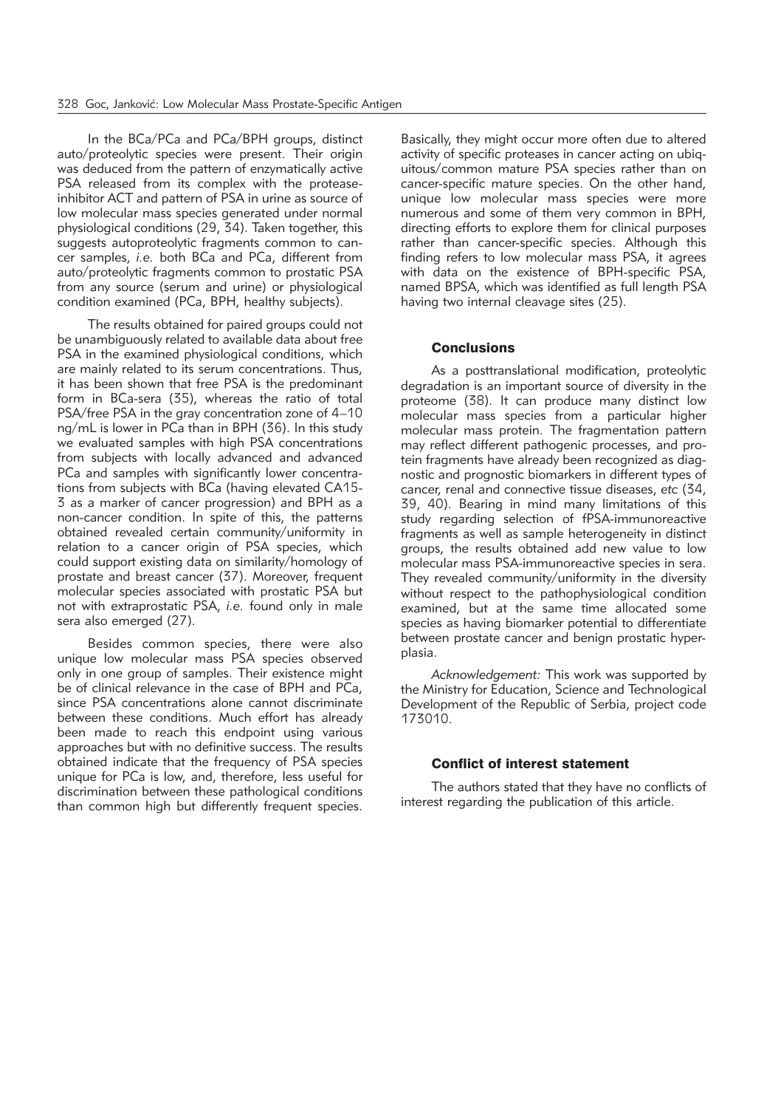In the BCa/PCa and PCa/BPH groups, distinct auto/proteolytic species were present. Their origin was deduced from the pattern of enzymatically active PSA released from its complex with the proteaseinhibitor ACT and pattern of PSA in urine as source of low molecular mass species generated under normal physiological conditions (29, 34). Taken together, this suggests autoproteolytic fragments common to cancer samples, *i.e.* both BCa and PCa, different from auto/proteolytic fragments common to prostatic PSA from any source (serum and urine) or physiological condition examined (PCa, BPH, healthy subjects).

The results obtained for paired groups could not be unambiguously related to available data about free PSA in the examined physiological conditions, which are mainly related to its serum concentrations. Thus, it has been shown that free PSA is the predominant form in BCa-sera (35), whereas the ratio of total PSA/free PSA in the gray concentration zone of 4–10 ng/mL is lower in PCa than in BPH (36). In this study we evaluated samples with high PSA concentrations from subjects with locally advanced and advanced PCa and samples with significantly lower concentrations from subjects with BCa (having elevated CA15- 3 as a marker of cancer progression) and BPH as a non-cancer condition. In spite of this, the patterns obtained revealed certain community/uniformity in relation to a cancer origin of PSA species, which could support existing data on similarity/homology of prostate and breast cancer (37). Moreover, frequent molecular species associated with prostatic PSA but not with extraprostatic PSA, *i.e.* found only in male sera also emerged (27).

Besides common species, there were also unique low molecular mass PSA species observed only in one group of samples. Their existence might be of clinical relevance in the case of BPH and PCa, since PSA concentrations alone cannot discriminate between these conditions. Much effort has already been made to reach this endpoint using various approaches but with no definitive success. The results obtained indicate that the frequency of PSA species unique for PCa is low, and, therefore, less useful for discrimination between these pathological conditions than common high but differently frequent species.

Basically, they might occur more often due to altered activity of specific proteases in cancer acting on ubiquitous/common mature PSA species rather than on cancer-specific mature species. On the other hand, unique low molecular mass species were more numerous and some of them very common in BPH, directing efforts to explore them for clinical purposes rather than cancer-specific species. Although this finding refers to low molecular mass PSA, it agrees with data on the existence of BPH-specific PSA, named BPSA, which was identified as full length PSA having two internal cleavage sites (25).

## **Conclusions**

As a posttranslational modification, proteolytic degradation is an important source of diversity in the proteome (38). It can produce many distinct low molecular mass species from a particular higher molecular mass protein. The fragmentation pattern may reflect different pathogenic processes, and protein fragments have already been recognized as diagnostic and prognostic biomarkers in different types of cancer, renal and connective tissue diseases, *etc* (34, 39, 40). Bearing in mind many limitations of this study regarding selection of fPSA-immunoreactive fragments as well as sample heterogeneity in distinct groups, the results obtained add new value to low molecular mass PSA-immunoreactive species in sera. They revealed community/uniformity in the diversity without respect to the pathophysiological condition examined, but at the same time allocated some species as having biomarker potential to differentiate between prostate cancer and benign prostatic hyperplasia.

*Acknowledgement:* This work was supported by the Ministry for Education, Science and Technological Development of the Republic of Serbia, project code 173010.

## Conflict of interest statement

The authors stated that they have no conflicts of interest regarding the publication of this article.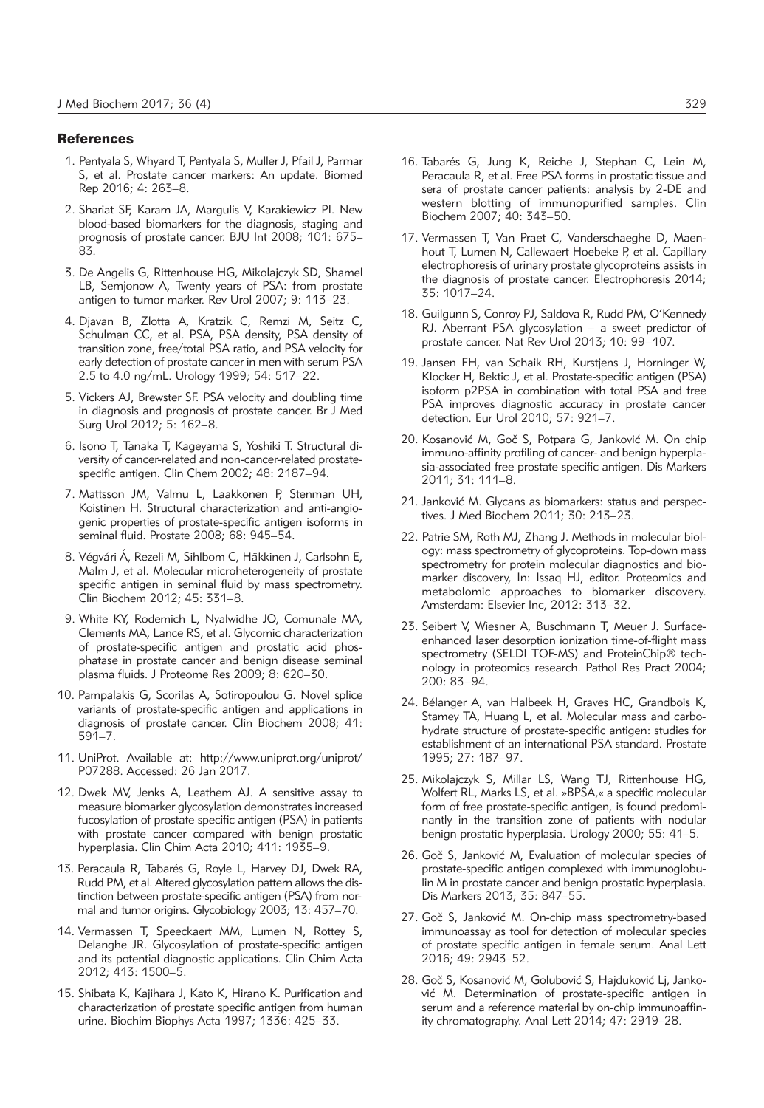## **References**

- 1. Pentyala S, Whyard T, Pentyala S, Muller J, Pfail J, Parmar S, et al. Prostate cancer markers: An update. Biomed Rep 2016; 4: 263–8.
- 2. Shariat SF, Karam JA, Margulis V, Karakiewicz PI. New blood-based biomarkers for the diagnosis, staging and prognosis of prostate cancer. BJU Int 2008; 101: 675– 83.
- 3. De Angelis G, Rittenhouse HG, Mikolajczyk SD, Shamel LB, Semjonow A, Twenty years of PSA: from prostate antigen to tumor marker. Rev Urol 2007; 9: 113–23.
- 4. Djavan B, Zlotta A, Kratzik C, Remzi M, Seitz C, Schulman CC, et al. PSA, PSA density, PSA density of transition zone, free/total PSA ratio, and PSA velocity for early detection of prostate cancer in men with serum PSA 2.5 to 4.0 ng/mL. Urology 1999; 54: 517–22.
- 5. Vickers AJ, Brewster SF. PSA velocity and doubling time in diagnosis and prognosis of prostate cancer. Br J Med Surg Urol 2012; 5: 162–8.
- 6. Isono T, Tanaka T, Kageyama S, Yoshiki T. Structural diversity of cancer-related and non-cancer-related prostatespecific antigen. Clin Chem 2002; 48: 2187–94.
- 7. Mattsson JM, Valmu L, Laakkonen P, Stenman UH, Koistinen H. Structural characterization and anti-angiogenic properties of prostate-specific antigen isoforms in seminal fluid. Prostate 2008; 68: 945–54.
- 8. Végvári Á, Rezeli M, Sihlbom C, Häkkinen J, Carlsohn E, Malm J, et al. Molecular microheterogeneity of prostate specific antigen in seminal fluid by mass spectrometry. Clin Biochem 2012; 45: 331–8.
- 9. White KY, Rodemich L, Nyalwidhe JO, Comunale MA, Clements MA, Lance RS, et al. Glycomic characterization of prostate-specific antigen and prostatic acid phosphatase in prostate cancer and benign disease seminal plasma fluids. J Proteome Res 2009; 8: 620–30.
- 10. Pampalakis G, Scorilas A, Sotiropoulou G. Novel splice variants of prostate-specific antigen and applications in diagnosis of prostate cancer. Clin Biochem 2008; 41: 591–7.
- 11. UniProt. Available at: http://www.uniprot.org/uniprot/ P07288. Accessed: 26 Jan 2017.
- 12. Dwek MV, Jenks A, Leathem AJ. A sensitive assay to measure biomarker glycosylation demonstrates increased fucosylation of prostate specific antigen (PSA) in patients with prostate cancer compared with benign prostatic hyperplasia. Clin Chim Acta 2010; 411: 1935–9.
- 13. Peracaula R, Tabarés G, Royle L, Harvey DJ, Dwek RA, Rudd PM, et al. Altered glycosylation pattern allows the distinction between prostate-specific antigen (PSA) from normal and tumor origins. Glycobiology 2003; 13: 457–70.
- 14. Vermassen T, Speeckaert MM, Lumen N, Rottey S, Delanghe JR. Glycosylation of prostate-specific antigen and its potential diagnostic applications. Clin Chim Acta 2012; 413: 1500–5.
- 15. Shibata K, Kajihara J, Kato K, Hirano K. Purification and characterization of prostate specific antigen from human urine. Biochim Biophys Acta 1997; 1336: 425–33.
- 16. Tabarés G, Jung K, Reiche J, Stephan C, Lein M, Peracaula R, et al. Free PSA forms in prostatic tissue and sera of prostate cancer patients: analysis by 2-DE and western blotting of immunopurified samples. Clin Biochem 2007; 40: 343–50.
- 17. Vermassen T, Van Praet C, Vanderschaeghe D, Maenhout T, Lumen N, Callewaert Hoebeke P, et al. Capillary electrophoresis of urinary prostate glycoproteins assists in the diagnosis of prostate cancer. Electrophoresis 2014; 35: 1017–24.
- 18. Guilgunn S, Conroy PJ, Saldova R, Rudd PM, O'Kennedy RJ. Aberrant PSA glycosylation – a sweet predictor of prostate cancer. Nat Rev Urol 2013; 10: 99–107.
- 19. Jansen FH, van Schaik RH, Kurstjens J, Horninger W, Klocker H, Bektic J, et al. Prostate-specific antigen (PSA) isoform p2PSA in combination with total PSA and free PSA improves diagnostic accuracy in prostate cancer detection. Eur Urol 2010; 57: 921–7.
- 20. Kosanović M, Goč S, Potpara G, Janković M. On chip immuno-affinity profiling of cancer- and benign hyperplasia-associated free prostate specific antigen. Dis Markers 2011; 31: 111–8.
- 21. Janković M. Glycans as biomarkers: status and perspectives. J Med Biochem 2011; 30: 213–23.
- 22. Patrie SM, Roth MJ, Zhang J. Methods in molecular biology: mass spectrometry of glycoproteins. Top-down mass spectrometry for protein molecular diagnostics and biomarker discovery, In: Issaq HJ, editor. Proteomics and metabolomic approaches to biomarker discovery. Amsterdam: Elsevier Inc, 2012: 313-32.
- 23. Seibert V, Wiesner A, Buschmann T, Meuer J. Surfaceenhanced laser desorption ionization time-of-flight mass spectrometry (SELDI TOF-MS) and ProteinChip® technology in proteomics research. Pathol Res Pract 2004; 200: 83–94.
- 24. Bélanger A, van Halbeek H, Graves HC, Grandbois K, Stamey TA, Huang L, et al. Molecular mass and carbohydrate structure of prostate-specific antigen: studies for establishment of an international PSA standard. Prostate 1995; 27: 187–97.
- 25. Mikolajczyk S, Millar LS, Wang TJ, Rittenhouse HG, Wolfert RL, Marks LS, et al. »BPSA,« a specific molecular form of free prostate-specific antigen, is found predominantly in the transition zone of patients with nodular benign prostatic hyperplasia. Urology 2000; 55: 41–5.
- 26. Goč S, Janković M, Evaluation of molecular species of prostate-specific antigen complexed with immunoglobulin M in prostate cancer and benign prostatic hyperplasia. Dis Markers 2013; 35: 847–55.
- 27. Goč S, Janković M. On-chip mass spectrometry-based immunoassay as tool for detection of molecular species of prostate specific antigen in female serum. Anal Lett 2016; 49: 2943–52.
- 28. Goč S, Kosanović M, Golubović S, Hajduković Lj, Janković M. Determination of prostate-specific antigen in serum and a reference material by on-chip immunoaffinity chromatography. Anal Lett 2014; 47: 2919–28.